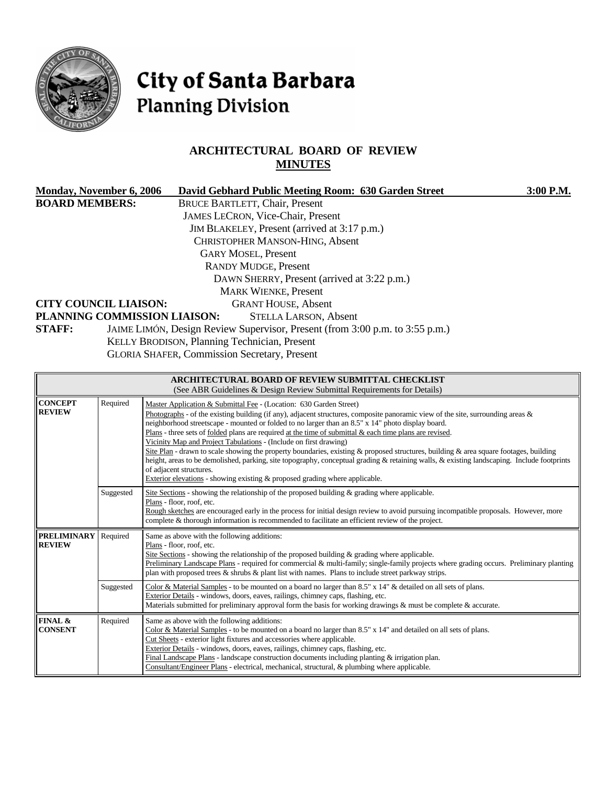

# City of Santa Barbara **Planning Division**

## **ARCHITECTURAL BOARD OF REVIEW MINUTES**

| Monday, November 6, 2006                            |                                              | David Gebhard Public Meeting Room: 630 Garden Street                                                                                | 3:00 P.M. |  |  |  |  |
|-----------------------------------------------------|----------------------------------------------|-------------------------------------------------------------------------------------------------------------------------------------|-----------|--|--|--|--|
| <b>BOARD MEMBERS:</b>                               |                                              | <b>BRUCE BARTLETT, Chair, Present</b>                                                                                               |           |  |  |  |  |
|                                                     |                                              | <b>JAMES LECRON, Vice-Chair, Present</b>                                                                                            |           |  |  |  |  |
|                                                     |                                              | JIM BLAKELEY, Present (arrived at 3:17 p.m.)                                                                                        |           |  |  |  |  |
|                                                     |                                              | <b>CHRISTOPHER MANSON-HING, Absent</b>                                                                                              |           |  |  |  |  |
|                                                     |                                              | <b>GARY MOSEL, Present</b>                                                                                                          |           |  |  |  |  |
|                                                     |                                              | <b>RANDY MUDGE, Present</b>                                                                                                         |           |  |  |  |  |
| DAWN SHERRY, Present (arrived at 3:22 p.m.)         |                                              |                                                                                                                                     |           |  |  |  |  |
|                                                     |                                              | <b>MARK WIENKE, Present</b>                                                                                                         |           |  |  |  |  |
| <b>CITY COUNCIL LIAISON:</b>                        |                                              | <b>GRANT HOUSE, Absent</b>                                                                                                          |           |  |  |  |  |
|                                                     |                                              | PLANNING COMMISSION LIAISON:<br><b>STELLA LARSON, Absent</b>                                                                        |           |  |  |  |  |
| <b>STAFF:</b>                                       |                                              | JAIME LIMÓN, Design Review Supervisor, Present (from 3:00 p.m. to 3:55 p.m.)                                                        |           |  |  |  |  |
|                                                     | KELLY BRODISON, Planning Technician, Present |                                                                                                                                     |           |  |  |  |  |
| <b>GLORIA SHAFER, Commission Secretary, Present</b> |                                              |                                                                                                                                     |           |  |  |  |  |
|                                                     |                                              |                                                                                                                                     |           |  |  |  |  |
|                                                     |                                              | <b>ARCHITECTURAL BOARD OF REVIEW SUBMITTAL CHECKLIST</b><br>(See ABR Guidelines & Design Review Submittal Requirements for Details) |           |  |  |  |  |
| <b>CONCEPT</b>                                      | Required                                     | Master Application & Submittal Fee - (Location: 630 Garden Street)                                                                  |           |  |  |  |  |

| <b>CONCEPT</b><br><b>REVIEW</b>      | Required  | Master Application & Submittal Fee - (Location: 630 Garden Street)<br>Photographs - of the existing building (if any), adjacent structures, composite panoramic view of the site, surrounding areas $\&$<br>neighborhood streetscape - mounted or folded to no larger than an 8.5" x 14" photo display board.<br>Plans - three sets of folded plans are required at the time of submittal & each time plans are revised.<br>Vicinity Map and Project Tabulations - (Include on first drawing)<br>Site Plan - drawn to scale showing the property boundaries, existing & proposed structures, building & area square footages, building<br>height, areas to be demolished, parking, site topography, conceptual grading & retaining walls, & existing landscaping. Include footprints<br>of adjacent structures.<br>Exterior elevations - showing existing & proposed grading where applicable. |  |
|--------------------------------------|-----------|------------------------------------------------------------------------------------------------------------------------------------------------------------------------------------------------------------------------------------------------------------------------------------------------------------------------------------------------------------------------------------------------------------------------------------------------------------------------------------------------------------------------------------------------------------------------------------------------------------------------------------------------------------------------------------------------------------------------------------------------------------------------------------------------------------------------------------------------------------------------------------------------|--|
|                                      | Suggested | Site Sections - showing the relationship of the proposed building $\&$ grading where applicable.<br>Plans - floor, roof, etc.<br>Rough sketches are encouraged early in the process for initial design review to avoid pursuing incompatible proposals. However, more<br>complete & thorough information is recommended to facilitate an efficient review of the project.                                                                                                                                                                                                                                                                                                                                                                                                                                                                                                                      |  |
| <b>PRELIMINARY</b><br><b>REVIEW</b>  | Required  | Same as above with the following additions:<br>Plans - floor, roof, etc.<br>Site Sections - showing the relationship of the proposed building $\&$ grading where applicable.<br>Preliminary Landscape Plans - required for commercial & multi-family; single-family projects where grading occurs. Preliminary planting<br>plan with proposed trees $\&$ shrubs $\&$ plant list with names. Plans to include street parkway strips.                                                                                                                                                                                                                                                                                                                                                                                                                                                            |  |
|                                      | Suggested | Color & Material Samples - to be mounted on a board no larger than 8.5" x 14" & detailed on all sets of plans.<br>Exterior Details - windows, doors, eaves, railings, chimney caps, flashing, etc.<br>Materials submitted for preliminary approval form the basis for working drawings $\&$ must be complete $\&$ accurate.                                                                                                                                                                                                                                                                                                                                                                                                                                                                                                                                                                    |  |
| <b>FINAL &amp;</b><br><b>CONSENT</b> | Required  | Same as above with the following additions:<br>Color & Material Samples - to be mounted on a board no larger than $8.5"$ x $14"$ and detailed on all sets of plans.<br>Cut Sheets - exterior light fixtures and accessories where applicable.<br>Exterior Details - windows, doors, eaves, railings, chimney caps, flashing, etc.<br>Final Landscape Plans - landscape construction documents including planting $\&$ irrigation plan.<br>Consultant/Engineer Plans - electrical, mechanical, structural, & plumbing where applicable.                                                                                                                                                                                                                                                                                                                                                         |  |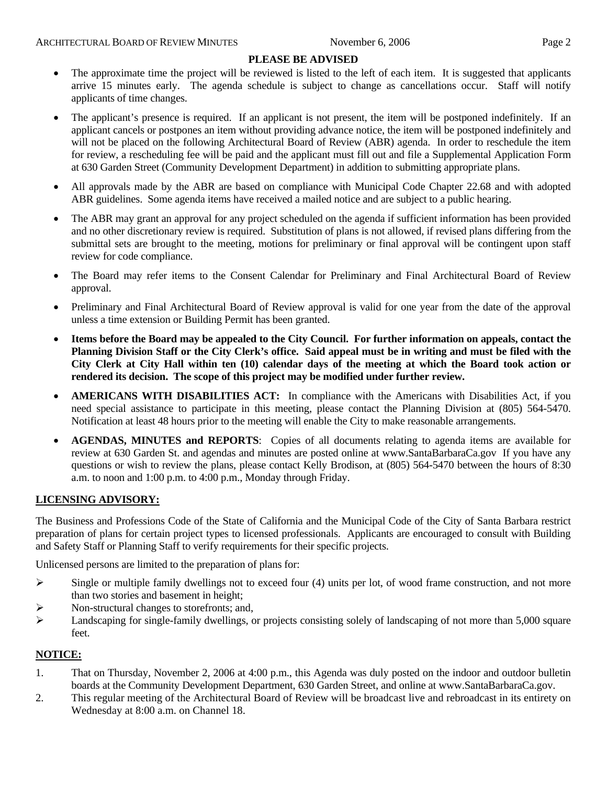#### **PLEASE BE ADVISED**

- The approximate time the project will be reviewed is listed to the left of each item. It is suggested that applicants arrive 15 minutes early. The agenda schedule is subject to change as cancellations occur. Staff will notify applicants of time changes.
- The applicant's presence is required. If an applicant is not present, the item will be postponed indefinitely. If an applicant cancels or postpones an item without providing advance notice, the item will be postponed indefinitely and will not be placed on the following Architectural Board of Review (ABR) agenda. In order to reschedule the item for review, a rescheduling fee will be paid and the applicant must fill out and file a Supplemental Application Form at 630 Garden Street (Community Development Department) in addition to submitting appropriate plans.
- All approvals made by the ABR are based on compliance with Municipal Code Chapter 22.68 and with adopted ABR guidelines. Some agenda items have received a mailed notice and are subject to a public hearing.
- The ABR may grant an approval for any project scheduled on the agenda if sufficient information has been provided and no other discretionary review is required. Substitution of plans is not allowed, if revised plans differing from the submittal sets are brought to the meeting, motions for preliminary or final approval will be contingent upon staff review for code compliance.
- The Board may refer items to the Consent Calendar for Preliminary and Final Architectural Board of Review approval.
- Preliminary and Final Architectural Board of Review approval is valid for one year from the date of the approval unless a time extension or Building Permit has been granted.
- **Items before the Board may be appealed to the City Council. For further information on appeals, contact the Planning Division Staff or the City Clerk's office. Said appeal must be in writing and must be filed with the City Clerk at City Hall within ten (10) calendar days of the meeting at which the Board took action or rendered its decision. The scope of this project may be modified under further review.**
- **AMERICANS WITH DISABILITIES ACT:** In compliance with the Americans with Disabilities Act, if you need special assistance to participate in this meeting, please contact the Planning Division at (805) 564-5470. Notification at least 48 hours prior to the meeting will enable the City to make reasonable arrangements.
- **AGENDAS, MINUTES and REPORTS**: Copies of all documents relating to agenda items are available for review at 630 Garden St. and agendas and minutes are posted online at [www.SantaBarbaraCa.gov](http://www.santabarbaraca.gov/) If you have any questions or wish to review the plans, please contact Kelly Brodison, at (805) 564-5470 between the hours of 8:30 a.m. to noon and 1:00 p.m. to 4:00 p.m., Monday through Friday.

## **LICENSING ADVISORY:**

The Business and Professions Code of the State of California and the Municipal Code of the City of Santa Barbara restrict preparation of plans for certain project types to licensed professionals. Applicants are encouraged to consult with Building and Safety Staff or Planning Staff to verify requirements for their specific projects.

Unlicensed persons are limited to the preparation of plans for:

- $\triangleright$  Single or multiple family dwellings not to exceed four (4) units per lot, of wood frame construction, and not more than two stories and basement in height;
- ¾ Non-structural changes to storefronts; and,
- $\blacktriangleright$  Landscaping for single-family dwellings, or projects consisting solely of landscaping of not more than 5,000 square feet.

#### **NOTICE:**

- 1. That on Thursday, November 2, 2006 at 4:00 p.m., this Agenda was duly posted on the indoor and outdoor bulletin boards at the Community Development Department, 630 Garden Street, and online at www.SantaBarbaraCa.gov.
- 2. This regular meeting of the Architectural Board of Review will be broadcast live and rebroadcast in its entirety on Wednesday at 8:00 a.m. on Channel 18.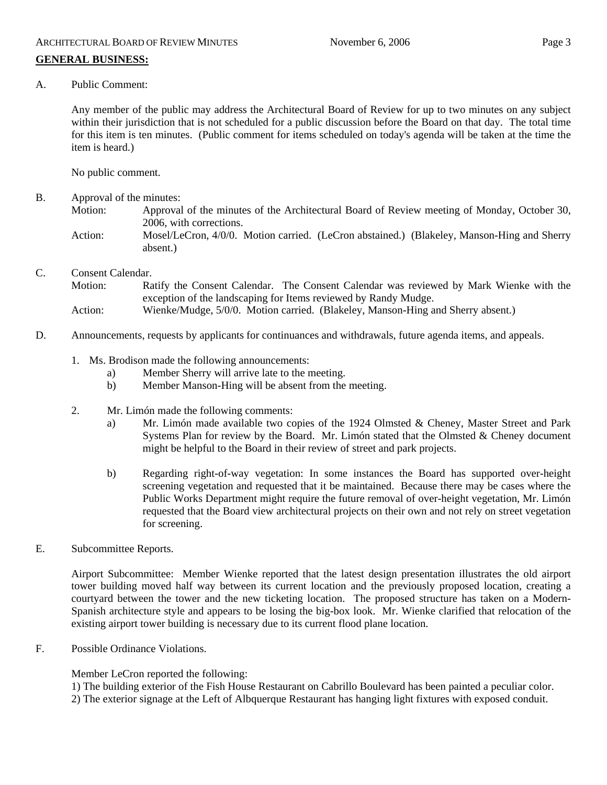A. Public Comment:

Any member of the public may address the Architectural Board of Review for up to two minutes on any subject within their jurisdiction that is not scheduled for a public discussion before the Board on that day. The total time for this item is ten minutes. (Public comment for items scheduled on today's agenda will be taken at the time the item is heard.)

No public comment.

- B. Approval of the minutes:
	- Motion: Approval of the minutes of the Architectural Board of Review meeting of Monday, October 30, 2006, with corrections.
		- Action: Mosel/LeCron, 4/0/0. Motion carried. (LeCron abstained.) (Blakeley, Manson-Hing and Sherry absent.)
- C. Consent Calendar.

Motion: Ratify the Consent Calendar. The Consent Calendar was reviewed by Mark Wienke with the exception of the landscaping for Items reviewed by Randy Mudge.

- Action: Wienke/Mudge, 5/0/0. Motion carried. (Blakeley, Manson-Hing and Sherry absent.)
- D. Announcements, requests by applicants for continuances and withdrawals, future agenda items, and appeals.
	- 1. Ms. Brodison made the following announcements:
		- a) Member Sherry will arrive late to the meeting.
		- b) Member Manson-Hing will be absent from the meeting.
	- 2. Mr. Limón made the following comments:
		- a) Mr. Limón made available two copies of the 1924 Olmsted & Cheney, Master Street and Park Systems Plan for review by the Board. Mr. Limón stated that the Olmsted & Cheney document might be helpful to the Board in their review of street and park projects.
		- b) Regarding right-of-way vegetation: In some instances the Board has supported over-height screening vegetation and requested that it be maintained. Because there may be cases where the Public Works Department might require the future removal of over-height vegetation, Mr. Limón requested that the Board view architectural projects on their own and not rely on street vegetation for screening.
- E. Subcommittee Reports.

Airport Subcommittee: Member Wienke reported that the latest design presentation illustrates the old airport tower building moved half way between its current location and the previously proposed location, creating a courtyard between the tower and the new ticketing location. The proposed structure has taken on a Modern-Spanish architecture style and appears to be losing the big-box look. Mr. Wienke clarified that relocation of the existing airport tower building is necessary due to its current flood plane location.

F. Possible Ordinance Violations.

Member LeCron reported the following:

1) The building exterior of the Fish House Restaurant on Cabrillo Boulevard has been painted a peculiar color.

2) The exterior signage at the Left of Albquerque Restaurant has hanging light fixtures with exposed conduit.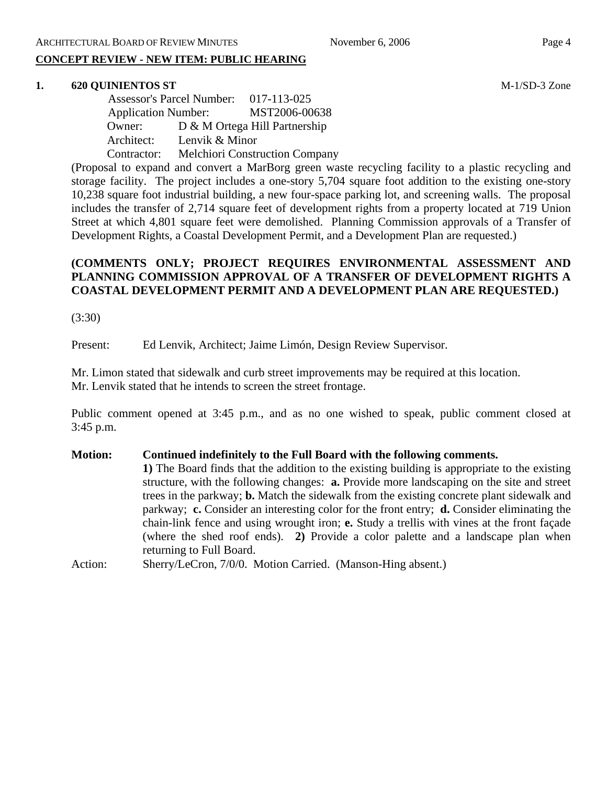## **CONCEPT REVIEW - NEW ITEM: PUBLIC HEARING**

#### **1. 620 QUINIENTOS ST** M-1/SD-3 Zone

 Assessor's Parcel Number: 017-113-025 Application Number: MST2006-00638 Owner: D & M Ortega Hill Partnership Architect: Lenvik & Minor Contractor: Melchiori Construction Company

(Proposal to expand and convert a MarBorg green waste recycling facility to a plastic recycling and storage facility. The project includes a one-story 5,704 square foot addition to the existing one-story 10,238 square foot industrial building, a new four-space parking lot, and screening walls. The proposal includes the transfer of 2,714 square feet of development rights from a property located at 719 Union Street at which 4,801 square feet were demolished. Planning Commission approvals of a Transfer of Development Rights, a Coastal Development Permit, and a Development Plan are requested.)

## **(COMMENTS ONLY; PROJECT REQUIRES ENVIRONMENTAL ASSESSMENT AND PLANNING COMMISSION APPROVAL OF A TRANSFER OF DEVELOPMENT RIGHTS A COASTAL DEVELOPMENT PERMIT AND A DEVELOPMENT PLAN ARE REQUESTED.)**

(3:30)

Present: Ed Lenvik, Architect; Jaime Limón, Design Review Supervisor.

Mr. Limon stated that sidewalk and curb street improvements may be required at this location. Mr. Lenvik stated that he intends to screen the street frontage.

Public comment opened at 3:45 p.m., and as no one wished to speak, public comment closed at 3:45 p.m.

**Motion: Continued indefinitely to the Full Board with the following comments. 1)** The Board finds that the addition to the existing building is appropriate to the existing structure, with the following changes: **a.** Provide more landscaping on the site and street trees in the parkway; **b.** Match the sidewalk from the existing concrete plant sidewalk and parkway; **c.** Consider an interesting color for the front entry; **d.** Consider eliminating the chain-link fence and using wrought iron; **e.** Study a trellis with vines at the front façade (where the shed roof ends). **2)** Provide a color palette and a landscape plan when returning to Full Board.

Action: Sherry/LeCron, 7/0/0. Motion Carried. (Manson-Hing absent.)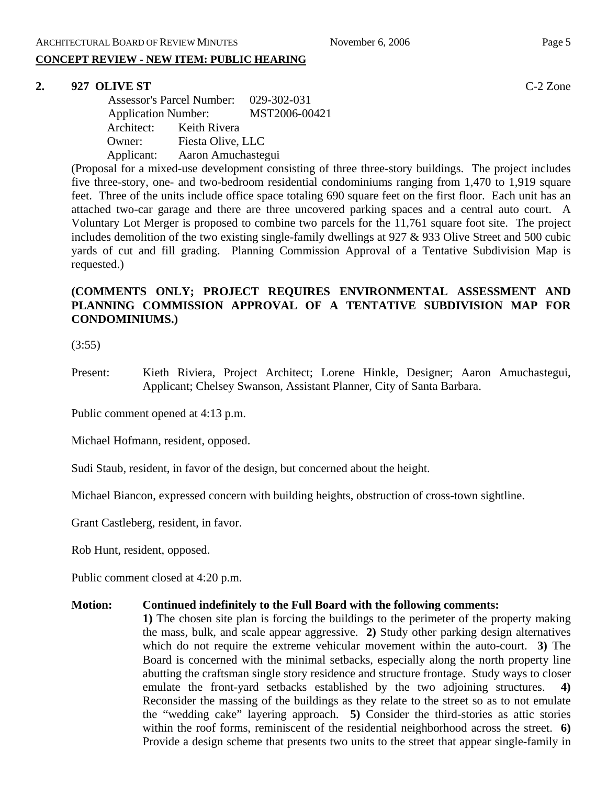## **CONCEPT REVIEW - NEW ITEM: PUBLIC HEARING**

#### **2. 927 OLIVE ST** C-2 Zone

 Assessor's Parcel Number: 029-302-031 Application Number: MST2006-00421 Architect: Keith Rivera Owner: Fiesta Olive, LLC Applicant: Aaron Amuchastegui

(Proposal for a mixed-use development consisting of three three-story buildings. The project includes five three-story, one- and two-bedroom residential condominiums ranging from 1,470 to 1,919 square feet. Three of the units include office space totaling 690 square feet on the first floor. Each unit has an attached two-car garage and there are three uncovered parking spaces and a central auto court. A Voluntary Lot Merger is proposed to combine two parcels for the 11,761 square foot site. The project includes demolition of the two existing single-family dwellings at 927 & 933 Olive Street and 500 cubic yards of cut and fill grading. Planning Commission Approval of a Tentative Subdivision Map is requested.)

## **(COMMENTS ONLY; PROJECT REQUIRES ENVIRONMENTAL ASSESSMENT AND PLANNING COMMISSION APPROVAL OF A TENTATIVE SUBDIVISION MAP FOR CONDOMINIUMS.)**

(3:55)

Present: Kieth Riviera, Project Architect; Lorene Hinkle, Designer; Aaron Amuchastegui, Applicant; Chelsey Swanson, Assistant Planner, City of Santa Barbara.

Public comment opened at 4:13 p.m.

Michael Hofmann, resident, opposed.

Sudi Staub, resident, in favor of the design, but concerned about the height.

Michael Biancon, expressed concern with building heights, obstruction of cross-town sightline.

Grant Castleberg, resident, in favor.

Rob Hunt, resident, opposed.

Public comment closed at 4:20 p.m.

#### **Motion: Continued indefinitely to the Full Board with the following comments:**

**1)** The chosen site plan is forcing the buildings to the perimeter of the property making the mass, bulk, and scale appear aggressive. **2)** Study other parking design alternatives which do not require the extreme vehicular movement within the auto-court. **3**) The Board is concerned with the minimal setbacks, especially along the north property line abutting the craftsman single story residence and structure frontage. Study ways to closer emulate the front-yard setbacks established by the two adjoining structures. **4)** Reconsider the massing of the buildings as they relate to the street so as to not emulate the "wedding cake" layering approach. **5)** Consider the third-stories as attic stories within the roof forms, reminiscent of the residential neighborhood across the street. **6**) Provide a design scheme that presents two units to the street that appear single-family in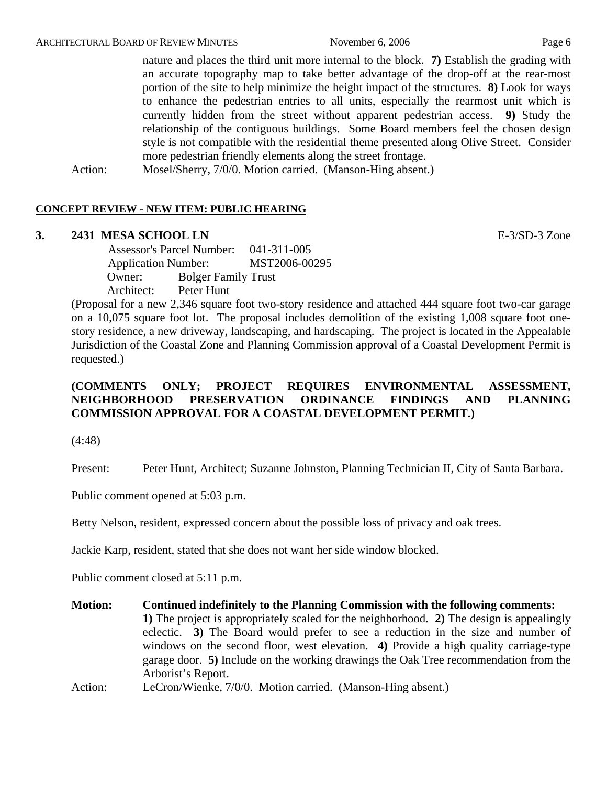nature and places the third unit more internal to the block. **7)** Establish the grading with an accurate topography map to take better advantage of the drop-off at the rear-most portion of the site to help minimize the height impact of the structures. **8)** Look for ways to enhance the pedestrian entries to all units, especially the rearmost unit which is currently hidden from the street without apparent pedestrian access. **9)** Study the relationship of the contiguous buildings. Some Board members feel the chosen design style is not compatible with the residential theme presented along Olive Street. Consider more pedestrian friendly elements along the street frontage.

Action: Mosel/Sherry, 7/0/0. Motion carried. (Manson-Hing absent.)

#### **CONCEPT REVIEW - NEW ITEM: PUBLIC HEARING**

#### **3. 2431 MESA SCHOOL LN** E-3/SD-3 Zone

 Assessor's Parcel Number: 041-311-005 Application Number: MST2006-00295 Owner: Bolger Family Trust Architect: Peter Hunt

(Proposal for a new 2,346 square foot two-story residence and attached 444 square foot two-car garage on a 10,075 square foot lot. The proposal includes demolition of the existing 1,008 square foot onestory residence, a new driveway, landscaping, and hardscaping. The project is located in the Appealable Jurisdiction of the Coastal Zone and Planning Commission approval of a Coastal Development Permit is requested.)

## **(COMMENTS ONLY; PROJECT REQUIRES ENVIRONMENTAL ASSESSMENT, NEIGHBORHOOD PRESERVATION ORDINANCE FINDINGS AND PLANNING COMMISSION APPROVAL FOR A COASTAL DEVELOPMENT PERMIT.)**

(4:48)

Present: Peter Hunt, Architect; Suzanne Johnston, Planning Technician II, City of Santa Barbara.

Public comment opened at 5:03 p.m.

Betty Nelson, resident, expressed concern about the possible loss of privacy and oak trees.

Jackie Karp, resident, stated that she does not want her side window blocked.

Public comment closed at 5:11 p.m.

**Motion: Continued indefinitely to the Planning Commission with the following comments: 1)** The project is appropriately scaled for the neighborhood. **2)** The design is appealingly eclectic. **3)** The Board would prefer to see a reduction in the size and number of windows on the second floor, west elevation. **4)** Provide a high quality carriage-type garage door. **5)** Include on the working drawings the Oak Tree recommendation from the Arborist's Report.

Action: LeCron/Wienke, 7/0/0. Motion carried. (Manson-Hing absent.)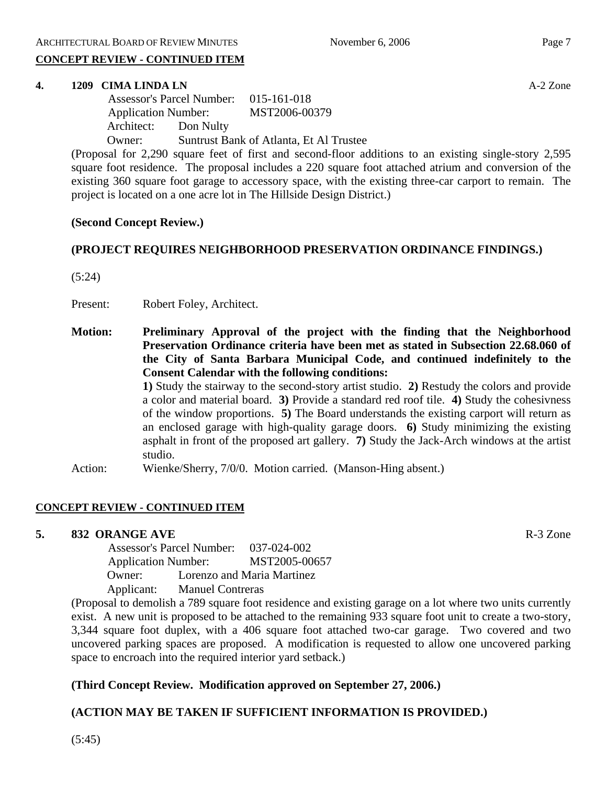#### **CONCEPT REVIEW - CONTINUED ITEM**

#### **4. 1209 CIMA LINDA LN** A-2 Zone

|                            |           | Assessor's Parcel Number: 015-161-018   |  |
|----------------------------|-----------|-----------------------------------------|--|
| <b>Application Number:</b> |           | MST2006-00379                           |  |
| Architect:                 | Don Nulty |                                         |  |
| Owner:                     |           | Suntrust Bank of Atlanta, Et Al Trustee |  |

(Proposal for 2,290 square feet of first and second-floor additions to an existing single-story 2,595 square foot residence. The proposal includes a 220 square foot attached atrium and conversion of the existing 360 square foot garage to accessory space, with the existing three-car carport to remain. The project is located on a one acre lot in The Hillside Design District.)

## **(Second Concept Review.)**

## **(PROJECT REQUIRES NEIGHBORHOOD PRESERVATION ORDINANCE FINDINGS.)**

(5:24)

Present: Robert Foley, Architect.

**Motion: Preliminary Approval of the project with the finding that the Neighborhood Preservation Ordinance criteria have been met as stated in Subsection 22.68.060 of the City of Santa Barbara Municipal Code, and continued indefinitely to the Consent Calendar with the following conditions:** 

> **1)** Study the stairway to the second-story artist studio. **2)** Restudy the colors and provide a color and material board. **3)** Provide a standard red roof tile. **4)** Study the cohesivness of the window proportions. **5)** The Board understands the existing carport will return as an enclosed garage with high-quality garage doors. **6)** Study minimizing the existing asphalt in front of the proposed art gallery. **7)** Study the Jack-Arch windows at the artist studio.

Action: Wienke/Sherry, 7/0/0. Motion carried. (Manson-Hing absent.)

#### **CONCEPT REVIEW - CONTINUED ITEM**

## **5. 832 ORANGE AVE**  R-3 Zone

 Assessor's Parcel Number: 037-024-002 Application Number: MST2005-00657 Owner: Lorenzo and Maria Martinez Applicant: Manuel Contreras

(Proposal to demolish a 789 square foot residence and existing garage on a lot where two units currently exist. A new unit is proposed to be attached to the remaining 933 square foot unit to create a two-story, 3,344 square foot duplex, with a 406 square foot attached two-car garage. Two covered and two uncovered parking spaces are proposed. A modification is requested to allow one uncovered parking space to encroach into the required interior yard setback.)

## **(Third Concept Review. Modification approved on September 27, 2006.)**

## **(ACTION MAY BE TAKEN IF SUFFICIENT INFORMATION IS PROVIDED.)**

(5:45)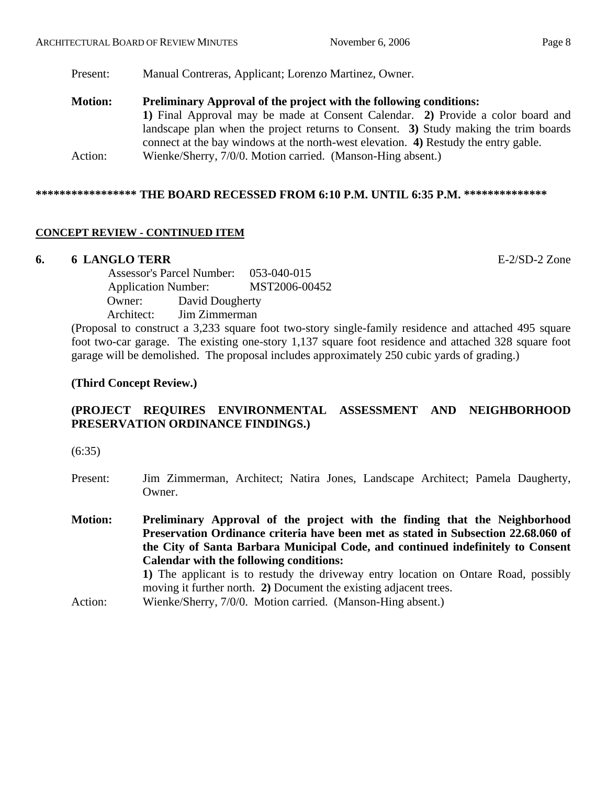Present: Manual Contreras, Applicant; Lorenzo Martinez, Owner.

**Motion: Preliminary Approval of the project with the following conditions: 1)** Final Approval may be made at Consent Calendar. **2)** Provide a color board and landscape plan when the project returns to Consent. **3)** Study making the trim boards connect at the bay windows at the north-west elevation. **4)** Restudy the entry gable. Action: Wienke/Sherry, 7/0/0. Motion carried. (Manson-Hing absent.)

## **\*\*\*\*\*\*\*\*\*\*\*\*\*\*\*\*\* THE BOARD RECESSED FROM 6:10 P.M. UNTIL 6:35 P.M. \*\*\*\*\*\*\*\*\*\*\*\*\*\***

## **CONCEPT REVIEW - CONTINUED ITEM**

#### **6. 6 LANGLO TERR** E-2/SD-2 Zone

 Assessor's Parcel Number: 053-040-015 Application Number: MST2006-00452 Owner: David Dougherty Architect: Jim Zimmerman

(Proposal to construct a 3,233 square foot two-story single-family residence and attached 495 square foot two-car garage. The existing one-story 1,137 square foot residence and attached 328 square foot garage will be demolished. The proposal includes approximately 250 cubic yards of grading.)

## **(Third Concept Review.)**

## **(PROJECT REQUIRES ENVIRONMENTAL ASSESSMENT AND NEIGHBORHOOD PRESERVATION ORDINANCE FINDINGS.)**

(6:35)

- Present: Jim Zimmerman, Architect; Natira Jones, Landscape Architect; Pamela Daugherty, Owner.
- **Motion: Preliminary Approval of the project with the finding that the Neighborhood Preservation Ordinance criteria have been met as stated in Subsection 22.68.060 of the City of Santa Barbara Municipal Code, and continued indefinitely to Consent Calendar with the following conditions: 1)** The applicant is to restudy the driveway entry location on Ontare Road, possibly moving it further north. **2)** Document the existing adjacent trees.
- Action: Wienke/Sherry, 7/0/0. Motion carried. (Manson-Hing absent.)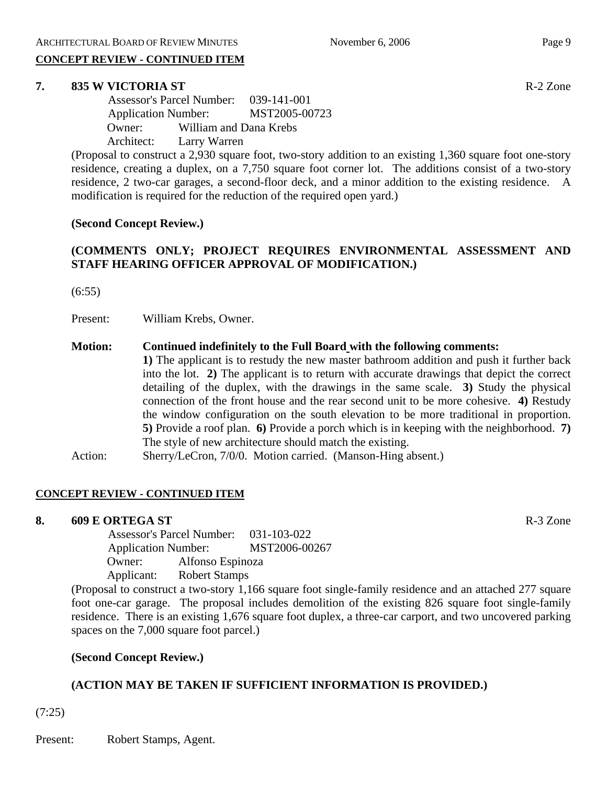## **CONCEPT REVIEW - CONTINUED ITEM**

## **7. 835 W VICTORIA ST** R-2 Zone

 Assessor's Parcel Number: 039-141-001 Application Number: MST2005-00723 Owner: William and Dana Krebs Architect: Larry Warren

(Proposal to construct a 2,930 square foot, two-story addition to an existing 1,360 square foot one-story residence, creating a duplex, on a 7,750 square foot corner lot. The additions consist of a two-story residence, 2 two-car garages, a second-floor deck, and a minor addition to the existing residence. A modification is required for the reduction of the required open yard.)

## **(Second Concept Review.)**

## **(COMMENTS ONLY; PROJECT REQUIRES ENVIRONMENTAL ASSESSMENT AND STAFF HEARING OFFICER APPROVAL OF MODIFICATION.)**

(6:55)

Present: William Krebs, Owner.

## **Motion: Continued indefinitely to the Full Board with the following comments:**

**1)** The applicant is to restudy the new master bathroom addition and push it further back into the lot. **2)** The applicant is to return with accurate drawings that depict the correct detailing of the duplex, with the drawings in the same scale. **3)** Study the physical connection of the front house and the rear second unit to be more cohesive. **4)** Restudy the window configuration on the south elevation to be more traditional in proportion. **5)** Provide a roof plan. **6)** Provide a porch which is in keeping with the neighborhood. **7)** The style of new architecture should match the existing.

Action: Sherry/LeCron, 7/0/0. Motion carried. (Manson-Hing absent.)

## **CONCEPT REVIEW - CONTINUED ITEM**

## **8. 609 E ORTEGA ST** R-3 Zone

 Assessor's Parcel Number: 031-103-022 Application Number: MST2006-00267 Owner: Alfonso Espinoza Applicant: Robert Stamps

(Proposal to construct a two-story 1,166 square foot single-family residence and an attached 277 square foot one-car garage. The proposal includes demolition of the existing 826 square foot single-family residence. There is an existing 1,676 square foot duplex, a three-car carport, and two uncovered parking spaces on the 7,000 square foot parcel.)

## **(Second Concept Review.)**

## **(ACTION MAY BE TAKEN IF SUFFICIENT INFORMATION IS PROVIDED.)**

(7:25)

Present: Robert Stamps, Agent.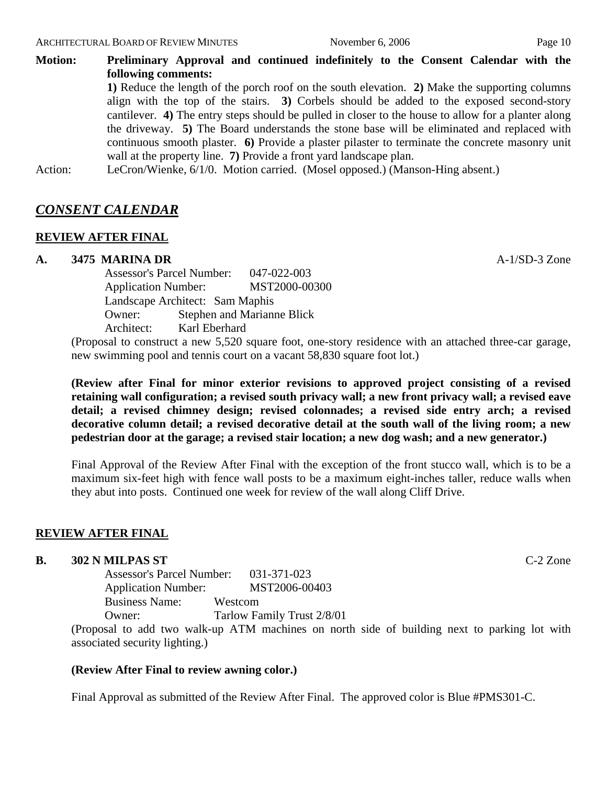**Motion: Preliminary Approval and continued indefinitely to the Consent Calendar with the following comments: 1)** Reduce the length of the porch roof on the south elevation. **2)** Make the supporting columns

align with the top of the stairs. **3)** Corbels should be added to the exposed second-story cantilever. **4)** The entry steps should be pulled in closer to the house to allow for a planter along the driveway. **5)** The Board understands the stone base will be eliminated and replaced with continuous smooth plaster. **6)** Provide a plaster pilaster to terminate the concrete masonry unit wall at the property line. **7)** Provide a front yard landscape plan.

Action: LeCron/Wienke, 6/1/0. Motion carried. (Mosel opposed.) (Manson-Hing absent.)

## *CONSENT CALENDAR*

#### **REVIEW AFTER FINAL**

#### **A. 3475 MARINA DR** A-1/SD-3 Zone

Assessor's Parcel Number: 047-022-003 Application Number: MST2000-00300 Landscape Architect: Sam Maphis Owner: Stephen and Marianne Blick Architect: Karl Eberhard

(Proposal to construct a new 5,520 square foot, one-story residence with an attached three-car garage, new swimming pool and tennis court on a vacant 58,830 square foot lot.)

**(Review after Final for minor exterior revisions to approved project consisting of a revised retaining wall configuration; a revised south privacy wall; a new front privacy wall; a revised eave detail; a revised chimney design; revised colonnades; a revised side entry arch; a revised decorative column detail; a revised decorative detail at the south wall of the living room; a new pedestrian door at the garage; a revised stair location; a new dog wash; and a new generator.)** 

Final Approval of the Review After Final with the exception of the front stucco wall, which is to be a maximum six-feet high with fence wall posts to be a maximum eight-inches taller, reduce walls when they abut into posts. Continued one week for review of the wall along Cliff Drive.

## **REVIEW AFTER FINAL**

#### **B. 302 N MILPAS ST** C-2 Zone

Assessor's Parcel Number: 031-371-023 Application Number: MST2006-00403 Business Name: Westcom Owner: Tarlow Family Trust 2/8/01

(Proposal to add two walk-up ATM machines on north side of building next to parking lot with associated security lighting.)

#### **(Review After Final to review awning color.)**

Final Approval as submitted of the Review After Final. The approved color is Blue #PMS301-C.

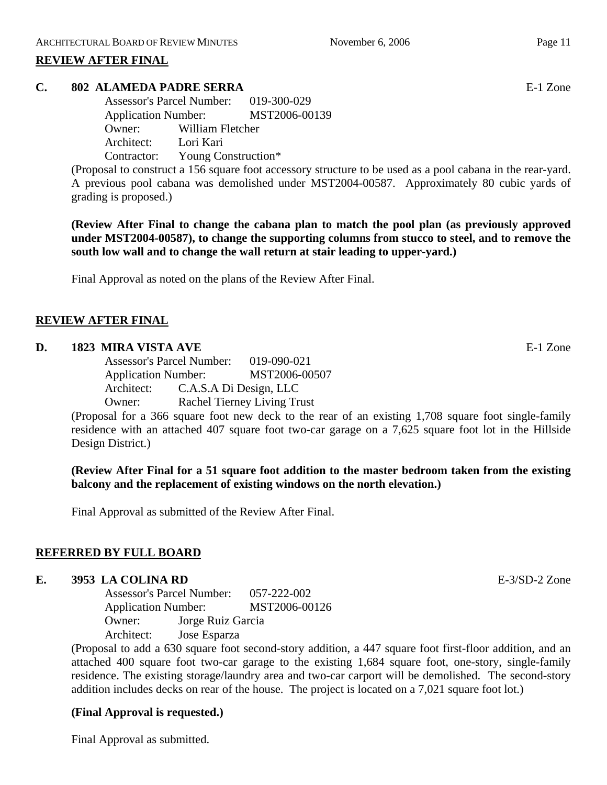## **REVIEW AFTER FINAL**

## **C. 802 ALAMEDA PADRE SERRA** E-1 Zone

Assessor's Parcel Number: 019-300-029 Application Number: MST2006-00139 Owner: William Fletcher Architect: Lori Kari Contractor: Young Construction\*

(Proposal to construct a 156 square foot accessory structure to be used as a pool cabana in the rear-yard. A previous pool cabana was demolished under MST2004-00587. Approximately 80 cubic yards of grading is proposed.)

**(Review After Final to change the cabana plan to match the pool plan (as previously approved under MST2004-00587), to change the supporting columns from stucco to steel, and to remove the south low wall and to change the wall return at stair leading to upper-yard.)** 

Final Approval as noted on the plans of the Review After Final.

## **REVIEW AFTER FINAL**

#### **D. 1823 MIRA VISTA AVE** E-1 Zone

Assessor's Parcel Number: 019-090-021 Application Number: MST2006-00507 Architect: C.A.S.A Di Design, LLC Owner: Rachel Tierney Living Trust

(Proposal for a 366 square foot new deck to the rear of an existing 1,708 square foot single-family residence with an attached 407 square foot two-car garage on a 7,625 square foot lot in the Hillside Design District.)

**(Review After Final for a 51 square foot addition to the master bedroom taken from the existing balcony and the replacement of existing windows on the north elevation.)** 

Final Approval as submitted of the Review After Final.

## **REFERRED BY FULL BOARD**

#### **E. 3953 LA COLINA RD** E-3/SD-2 Zone

Assessor's Parcel Number: 057-222-002 Application Number: MST2006-00126 Owner: Jorge Ruiz Garcia Architect: Jose Esparza

(Proposal to add a 630 square foot second-story addition, a 447 square foot first-floor addition, and an attached 400 square foot two-car garage to the existing 1,684 square foot, one-story, single-family residence. The existing storage/laundry area and two-car carport will be demolished. The second-story addition includes decks on rear of the house. The project is located on a 7,021 square foot lot.)

## **(Final Approval is requested.)**

Final Approval as submitted.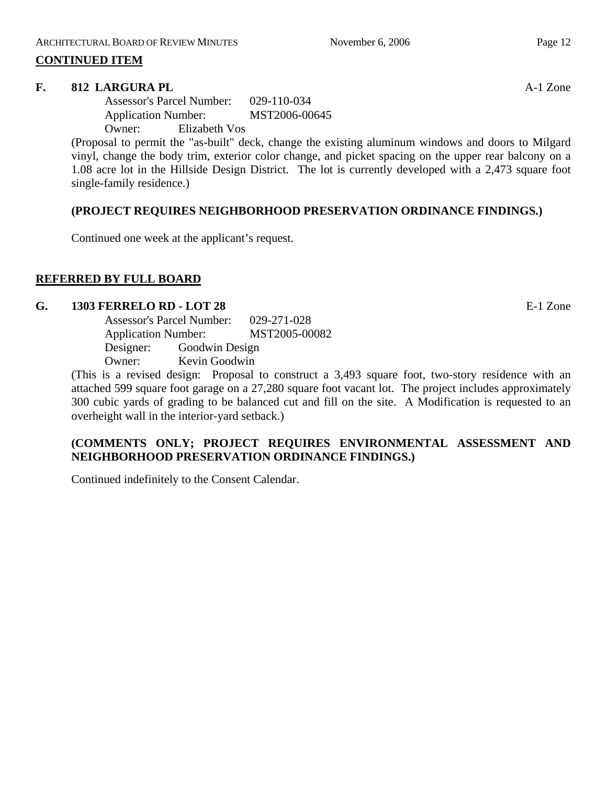## **CONTINUED ITEM**

## **F.** 812 LARGURA PL **A-1** Zone

Assessor's Parcel Number: 029-110-034 Application Number: MST2006-00645 Owner: Elizabeth Vos

(Proposal to permit the "as-built" deck, change the existing aluminum windows and doors to Milgard vinyl, change the body trim, exterior color change, and picket spacing on the upper rear balcony on a 1.08 acre lot in the Hillside Design District. The lot is currently developed with a 2,473 square foot single-family residence.)

## **(PROJECT REQUIRES NEIGHBORHOOD PRESERVATION ORDINANCE FINDINGS.)**

Continued one week at the applicant's request.

## **REFERRED BY FULL BOARD**

## **G. 1303 FERRELO RD - LOT 28** E-1 Zone

| <b>Assessor's Parcel Number:</b> | 029-271-028    |               |
|----------------------------------|----------------|---------------|
| <b>Application Number:</b>       |                | MST2005-00082 |
| Designer:                        | Goodwin Design |               |
| Owner:                           | Kevin Goodwin  |               |
|                                  |                |               |

(This is a revised design: Proposal to construct a 3,493 square foot, two-story residence with an attached 599 square foot garage on a 27,280 square foot vacant lot. The project includes approximately 300 cubic yards of grading to be balanced cut and fill on the site. A Modification is requested to an overheight wall in the interior-yard setback.)

## **(COMMENTS ONLY; PROJECT REQUIRES ENVIRONMENTAL ASSESSMENT AND NEIGHBORHOOD PRESERVATION ORDINANCE FINDINGS.)**

Continued indefinitely to the Consent Calendar.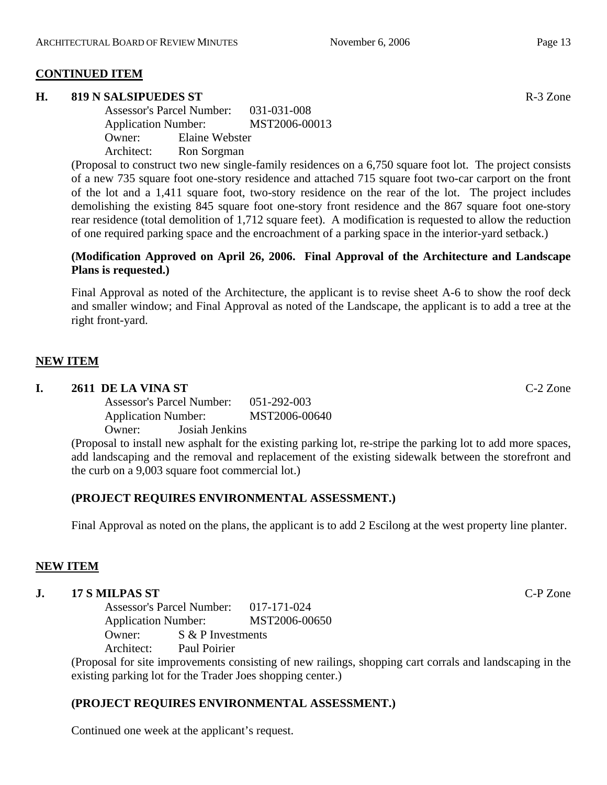## **CONTINUED ITEM**

## **H. 819 N SALSIPUEDES ST** R-3 Zone

Assessor's Parcel Number: 031-031-008 Application Number: MST2006-00013 Owner: Elaine Webster Architect: Ron Sorgman

(Proposal to construct two new single-family residences on a 6,750 square foot lot. The project consists of a new 735 square foot one-story residence and attached 715 square foot two-car carport on the front of the lot and a 1,411 square foot, two-story residence on the rear of the lot. The project includes demolishing the existing 845 square foot one-story front residence and the 867 square foot one-story rear residence (total demolition of 1,712 square feet). A modification is requested to allow the reduction of one required parking space and the encroachment of a parking space in the interior-yard setback.)

## **(Modification Approved on April 26, 2006. Final Approval of the Architecture and Landscape Plans is requested.)**

Final Approval as noted of the Architecture, the applicant is to revise sheet A-6 to show the roof deck and smaller window; and Final Approval as noted of the Landscape, the applicant is to add a tree at the right front-yard.

## **NEW ITEM**

## **I. 2611 DE LA VINA ST** C-2 Zone

Assessor's Parcel Number: 051-292-003 Application Number: MST2006-00640 Owner: Josiah Jenkins

(Proposal to install new asphalt for the existing parking lot, re-stripe the parking lot to add more spaces, add landscaping and the removal and replacement of the existing sidewalk between the storefront and the curb on a 9,003 square foot commercial lot.)

## **(PROJECT REQUIRES ENVIRONMENTAL ASSESSMENT.)**

Final Approval as noted on the plans, the applicant is to add 2 Escilong at the west property line planter.

## **NEW ITEM**

## **J. 17 S MILPAS ST** C-P Zone

Assessor's Parcel Number: 017-171-024 Application Number: MST2006-00650 Owner: S & P Investments Architect: Paul Poirier

(Proposal for site improvements consisting of new railings, shopping cart corrals and landscaping in the existing parking lot for the Trader Joes shopping center.)

## **(PROJECT REQUIRES ENVIRONMENTAL ASSESSMENT.)**

Continued one week at the applicant's request.